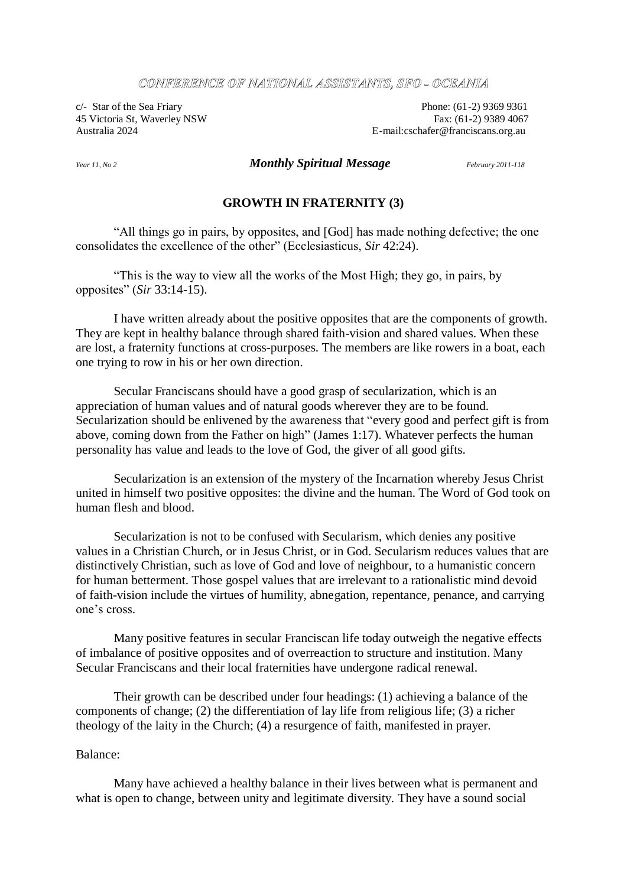#### CONFERENCE OF NATIONAL ASSISTANTS, SFO - OCEANLA

 $c$ - Star of the Sea Friary Phone: (61-2) 9369 9361 45 Victoria St, Waverley NSW Fax: (61-2) 9389 4067 Australia 2024 E-mail:cschafer@franciscans.org.au

## *Year 11, No 2 Monthly Spiritual Message February 2011-118*

# **GROWTH IN FRATERNITY (3)**

"All things go in pairs, by opposites, and [God] has made nothing defective; the one consolidates the excellence of the other" (Ecclesiasticus, *Sir* 42:24).

"This is the way to view all the works of the Most High; they go, in pairs, by opposites" (*Sir* 33:14-15).

I have written already about the positive opposites that are the components of growth. They are kept in healthy balance through shared faith-vision and shared values. When these are lost, a fraternity functions at cross-purposes. The members are like rowers in a boat, each one trying to row in his or her own direction.

Secular Franciscans should have a good grasp of secularization, which is an appreciation of human values and of natural goods wherever they are to be found. Secularization should be enlivened by the awareness that "every good and perfect gift is from above, coming down from the Father on high" (James 1:17). Whatever perfects the human personality has value and leads to the love of God, the giver of all good gifts.

Secularization is an extension of the mystery of the Incarnation whereby Jesus Christ united in himself two positive opposites: the divine and the human. The Word of God took on human flesh and blood.

Secularization is not to be confused with Secularism, which denies any positive values in a Christian Church, or in Jesus Christ, or in God. Secularism reduces values that are distinctively Christian, such as love of God and love of neighbour, to a humanistic concern for human betterment. Those gospel values that are irrelevant to a rationalistic mind devoid of faith-vision include the virtues of humility, abnegation, repentance, penance, and carrying one's cross.

Many positive features in secular Franciscan life today outweigh the negative effects of imbalance of positive opposites and of overreaction to structure and institution. Many Secular Franciscans and their local fraternities have undergone radical renewal.

Their growth can be described under four headings: (1) achieving a balance of the components of change; (2) the differentiation of lay life from religious life; (3) a richer theology of the laity in the Church; (4) a resurgence of faith, manifested in prayer.

## Balance:

Many have achieved a healthy balance in their lives between what is permanent and what is open to change, between unity and legitimate diversity. They have a sound social